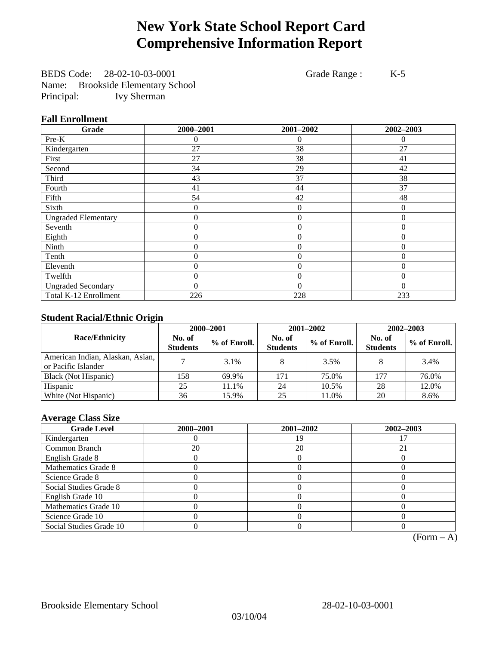# **New York State School Report Card Comprehensive Information Report**

BEDS Code: 28-02-10-03-0001 Grade Range : K-5 Name: Brookside Elementary School Principal: Ivy Sherman

### **Fall Enrollment**

| Grade                      | 2000-2001 | 2001-2002        | 2002-2003      |
|----------------------------|-----------|------------------|----------------|
| Pre-K                      | 0         | $\Omega$         | $\Omega$       |
| Kindergarten               | 27        | 38               | 27             |
| First                      | 27        | 38               | 41             |
| Second                     | 34        | 29               | 42             |
| Third                      | 43        | 37               | 38             |
| Fourth                     | 41        | 44               | 37             |
| Fifth                      | 54        | 42               | 48             |
| Sixth                      | 0         | $\overline{0}$   | $\mathbf{0}$   |
| <b>Ungraded Elementary</b> | 0         | $\mathbf{0}$     | $\overline{0}$ |
| Seventh                    | 0         | $\mathbf{0}$     | $\theta$       |
| Eighth                     | 0         | $\overline{0}$   | $\Omega$       |
| Ninth                      | 0         | $\theta$         | $\Omega$       |
| Tenth                      | 0         | $\boldsymbol{0}$ | $\theta$       |
| Eleventh                   | 0         | $\overline{0}$   | $\theta$       |
| Twelfth                    | 0         | $\overline{0}$   | $\Omega$       |
| <b>Ungraded Secondary</b>  | $\theta$  | $\theta$         | $\Omega$       |
| Total K-12 Enrollment      | 226       | 228              | 233            |

### **Student Racial/Ethnic Origin**

|                                                         | 2000-2001                 |              |                           | 2001-2002    | $2002 - 2003$             |                |
|---------------------------------------------------------|---------------------------|--------------|---------------------------|--------------|---------------------------|----------------|
| <b>Race/Ethnicity</b>                                   | No. of<br><b>Students</b> | % of Enroll. | No. of<br><b>Students</b> | % of Enroll. | No. of<br><b>Students</b> | $%$ of Enroll. |
| American Indian, Alaskan, Asian,<br>or Pacific Islander |                           | 3.1%         |                           | 3.5%         |                           | 3.4%           |
| Black (Not Hispanic)                                    | 158                       | 69.9%        | 171                       | 75.0%        | 177                       | 76.0%          |
| Hispanic                                                | 25                        | 11.1%        | 24                        | 10.5%        | 28                        | 12.0%          |
| White (Not Hispanic)                                    | 36                        | 15.9%        | 25                        | 11.0%        | 20                        | 8.6%           |

### **Average Class Size**

| <b>Grade Level</b>      | 2000-2001 | 2001-2002 | 2002-2003 |
|-------------------------|-----------|-----------|-----------|
| Kindergarten            |           | 1 G       |           |
| Common Branch           | 20        | 20        | 21        |
| English Grade 8         |           |           |           |
| Mathematics Grade 8     |           |           |           |
| Science Grade 8         |           |           |           |
| Social Studies Grade 8  |           |           |           |
| English Grade 10        |           |           |           |
| Mathematics Grade 10    |           |           |           |
| Science Grade 10        |           |           |           |
| Social Studies Grade 10 |           |           |           |

 $(Form - A)$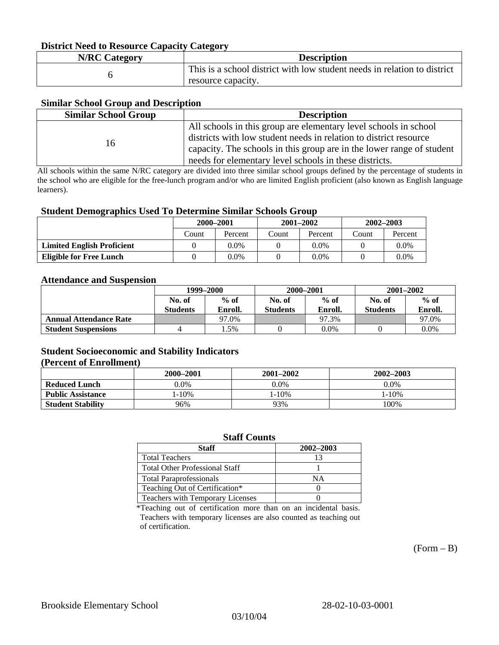### **District Need to Resource Capacity Category**

| <b>N/RC Category</b> | <b>Description</b>                                                                             |
|----------------------|------------------------------------------------------------------------------------------------|
|                      | This is a school district with low student needs in relation to district<br>resource capacity. |

### **Similar School Group and Description**

| <b>Similar School Group</b> | <b>Description</b>                                                    |
|-----------------------------|-----------------------------------------------------------------------|
|                             | All schools in this group are elementary level schools in school      |
| 16                          | districts with low student needs in relation to district resource     |
|                             | capacity. The schools in this group are in the lower range of student |
|                             | needs for elementary level schools in these districts.                |

All schools within the same N/RC category are divided into three similar school groups defined by the percentage of students in the school who are eligible for the free-lunch program and/or who are limited English proficient (also known as English language learners).

#### **Student Demographics Used To Determine Similar Schools Group**

|                                   | 2000-2001 |         | $2001 - 2002$ |         | $2002 - 2003$ |         |
|-----------------------------------|-----------|---------|---------------|---------|---------------|---------|
|                                   | Count     | Percent | Count         | Percent | Count         | Percent |
| <b>Limited English Proficient</b> |           | 0.0%    |               | 0.0%    |               | $0.0\%$ |
| Eligible for Free Lunch           |           | 0.0%    |               | $0.0\%$ |               | $0.0\%$ |

#### **Attendance and Suspension**

|                               | 1999–2000        |         | 2000-2001        |         | $2001 - 2002$   |         |
|-------------------------------|------------------|---------|------------------|---------|-----------------|---------|
|                               | $%$ of<br>No. of |         | $%$ of<br>No. of |         | No. of          | $%$ of  |
|                               | <b>Students</b>  | Enroll. | Students         | Enroll. | <b>Students</b> | Enroll. |
| <b>Annual Attendance Rate</b> |                  | 97.0%   |                  | 97.3%   |                 | 97.0%   |
| <b>Student Suspensions</b>    |                  | . . 5%  |                  | $0.0\%$ |                 | 0.0%    |

### **Student Socioeconomic and Stability Indicators (Percent of Enrollment)**

|                          | 2000-2001 | 2001–2002 | 2002-2003 |
|--------------------------|-----------|-----------|-----------|
| <b>Reduced Lunch</b>     | $0.0\%$   | $0.0\%$   | $0.0\%$   |
| <b>Public Assistance</b> | $-10%$    | $-10%$    | $-10%$    |
| <b>Student Stability</b> | 96%       | 93%       | 100%      |

#### **Staff Counts**

| Staff                                 | 2002-2003 |
|---------------------------------------|-----------|
| <b>Total Teachers</b>                 |           |
| <b>Total Other Professional Staff</b> |           |
| <b>Total Paraprofessionals</b>        | NΑ        |
| Teaching Out of Certification*        |           |
| Teachers with Temporary Licenses      |           |

\*Teaching out of certification more than on an incidental basis. Teachers with temporary licenses are also counted as teaching out of certification.

 $(Form - B)$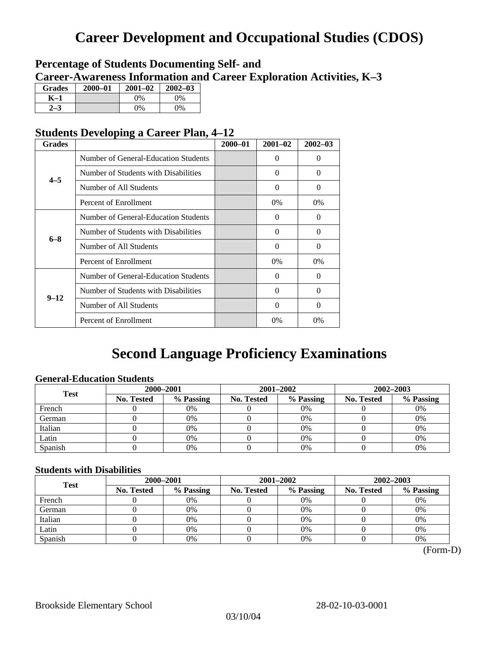# **Career Development and Occupational Studies (CDOS)**

### **Percentage of Students Documenting Self- and Career-Awareness Information and Career Exploration Activities, K–3**

| <b>Grades</b>  | 2000-01 | $2001 - 02$ | $2002 - 03$ |
|----------------|---------|-------------|-------------|
| K-1            |         | $0\%$       | 0%          |
| 2 <sub>2</sub> |         | $0\%$       | $0\%$       |

### **Students Developing a Career Plan, 4–12**

| <b>Grades</b> |                                      | $2000 - 01$ | $2001 - 02$ | $2002 - 03$ |
|---------------|--------------------------------------|-------------|-------------|-------------|
|               | Number of General-Education Students |             | $\Omega$    | $\theta$    |
| $4 - 5$       | Number of Students with Disabilities |             | $\Omega$    | 0           |
|               | Number of All Students               |             | 0           | 0           |
|               | Percent of Enrollment                |             | 0%          | 0%          |
|               | Number of General-Education Students |             | $\Omega$    | 0           |
| $6 - 8$       | Number of Students with Disabilities |             | $\Omega$    | $\Omega$    |
|               | Number of All Students               |             | $\Omega$    | $\Omega$    |
|               | Percent of Enrollment                |             | $0\%$       | $0\%$       |
|               | Number of General-Education Students |             | $\Omega$    | 0           |
| $9 - 12$      | Number of Students with Disabilities |             | 0           | 0           |
|               | Number of All Students               |             | $\Omega$    | $\theta$    |
|               | Percent of Enrollment                |             | 0%          | $0\%$       |

# **Second Language Proficiency Examinations**

### **General-Education Students**

| <b>Test</b> | 2000-2001         |           |            | 2001-2002 | $2002 - 2003$ |           |
|-------------|-------------------|-----------|------------|-----------|---------------|-----------|
|             | <b>No. Tested</b> | % Passing | No. Tested | % Passing | No. Tested    | % Passing |
| French      |                   | 0%        |            | $0\%$     |               | 0%        |
| German      |                   | 0%        |            | $0\%$     |               | 0%        |
| Italian     |                   | 0%        |            | 0%        |               | 0%        |
| Latin       |                   | 0%        |            | 0%        |               | 0%        |
| Spanish     |                   | 0%        |            | 0%        |               | 0%        |

### **Students with Disabilities**

| <b>Test</b> | 2000-2001  |           |            | 2001-2002 | 2002-2003  |           |  |
|-------------|------------|-----------|------------|-----------|------------|-----------|--|
|             | No. Tested | % Passing | No. Tested | % Passing | No. Tested | % Passing |  |
| French      |            | 0%        |            | 0%        |            | 0%        |  |
| German      |            | 0%        |            | $0\%$     |            | 0%        |  |
| Italian     |            | 0%        |            | 0%        |            | 0%        |  |
| Latin       |            | 0%        |            | 0%        |            | 0%        |  |
| Spanish     |            | 0%        |            | 0%        |            | 0%        |  |

(Form-D)